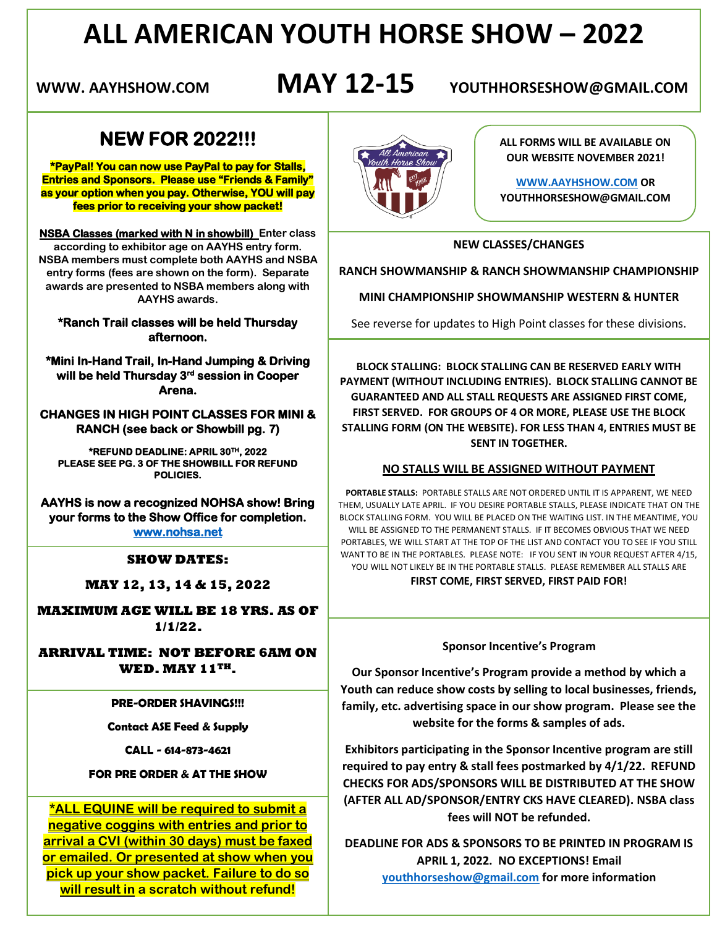# **ALL AMERICAN YOUTH HORSE SHOW – 2022**

**WWW. AAYHSHOW.COM MAY 12-15 YOUTHHORSESHOW@GMAIL.COM**

## **NEW FOR 2022!!!**

**\*PayPal! You can now use PayPal to pay for Stalls, Entries and Sponsors. Please use "Friends & Family" as your option when you pay. Otherwise, YOU will pay fees prior to receiving your show packet!** 

**NSBA Classes (marked with N in showbill) Enter class according to exhibitor age on AAYHS entry form. NSBA members must complete both AAYHS and NSBA entry forms (fees are shown on the form). Separate awards are presented to NSBA members along with AAYHS awards.**

#### **\*Ranch Trail classes will be held Thursday afternoon.**

**\*Mini In-Hand Trail, In-Hand Jumping & Driving will be held Thursday 3rd session in Cooper Arena.** 

**CHANGES IN HIGH POINT CLASSES FOR MINI & RANCH (see back or Showbill pg. 7)** 

**\*REFUND DEADLINE: APRIL 30TH, 2022 PLEASE SEE PG. 3 OF THE SHOWBILL FOR REFUND POLICIES.** 

**AAYHS is now a recognized NOHSA show! Bring your forms to the Show Office for completion. [www.nohsa.net](http://www.nohsa.net/)** 

#### **SHOW DATES:**

**MAY 12, 13, 14 & 15, 2022**

 **MAXIMUM AGE WILL BE 18 YRS. AS OF 1/1/22.** 

**ARRIVAL TIME: NOT BEFORE 6AM ON WED. MAY 11TH.**

**PRE-ORDER SHAVINGS!!!**

**Contact ASE Feed & Supply**

**CALL - 614-873-4621**

#### **FOR PRE ORDER & AT THE SHOW**

**\*ALL EQUINE will be required to submit a negative coggins with entries and prior to arrival a CVI (within 30 days) must be faxed or emailed. Or presented at show when you pick up your show packet. Failure to do so will result in a scratch without refund!**



**ALL FORMS WILL BE AVAILABLE ON OUR WEBSITE NOVEMBER 2021!**

**[WWW.AAYHSHOW.COM](http://www.aayhshow.com/) OR YOUTHHORSESHOW@GMAIL.COM**

#### **NEW CLASSES/CHANGES**

**RANCH SHOWMANSHIP & RANCH SHOWMANSHIP CHAMPIONSHIP**

**MINI CHAMPIONSHIP SHOWMANSHIP WESTERN & HUNTER**

See reverse for updates to High Point classes for these divisions.

**BLOCK STALLING: BLOCK STALLING CAN BE RESERVED EARLY WITH PAYMENT (WITHOUT INCLUDING ENTRIES). BLOCK STALLING CANNOT BE GUARANTEED AND ALL STALL REQUESTS ARE ASSIGNED FIRST COME, FIRST SERVED. FOR GROUPS OF 4 OR MORE, PLEASE USE THE BLOCK STALLING FORM (ON THE WEBSITE). FOR LESS THAN 4, ENTRIES MUST BE SENT IN TOGETHER.** 

#### **NO STALLS WILL BE ASSIGNED WITHOUT PAYMENT**

**PORTABLE STALLS:** PORTABLE STALLS ARE NOT ORDERED UNTIL IT IS APPARENT, WE NEED THEM, USUALLY LATE APRIL. IF YOU DESIRE PORTABLE STALLS, PLEASE INDICATE THAT ON THE BLOCK STALLING FORM. YOU WILL BE PLACED ON THE WAITING LIST. IN THE MEANTIME, YOU WILL BE ASSIGNED TO THE PERMANENT STALLS. IF IT BECOMES OBVIOUS THAT WE NEED PORTABLES, WE WILL START AT THE TOP OF THE LIST AND CONTACT YOU TO SEE IF YOU STILL WANT TO BE IN THE PORTABLES. PLEASE NOTE: IF YOU SENT IN YOUR REQUEST AFTER 4/15, YOU WILL NOT LIKELY BE IN THE PORTABLE STALLS. PLEASE REMEMBER ALL STALLS ARE **FIRST COME, FIRST SERVED, FIRST PAID FOR!**

#### **Sponsor Incentive's Program**

**Our Sponsor Incentive's Program provide a method by which a Youth can reduce show costs by selling to local businesses, friends, family, etc. advertising space in our show program. Please see the website for the forms & samples of ads.**

**Exhibitors participating in the Sponsor Incentive program are still required to pay entry & stall fees postmarked by 4/1/22. REFUND CHECKS FOR ADS/SPONSORS WILL BE DISTRIBUTED AT THE SHOW (AFTER ALL AD/SPONSOR/ENTRY CKS HAVE CLEARED). NSBA class fees will NOT be refunded.**

**DEADLINE FOR ADS & SPONSORS TO BE PRINTED IN PROGRAM IS APRIL 1, 2022. NO EXCEPTIONS! Email [youthhorseshow@gmail.com](mailto:youthhorseshow@gmail.com) for more information**